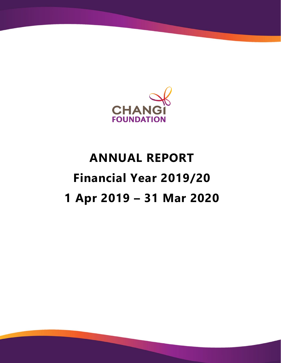

# **ANNUAL REPORT Financial Year 2019/20 1 Apr 2019 – 31 Mar 2020**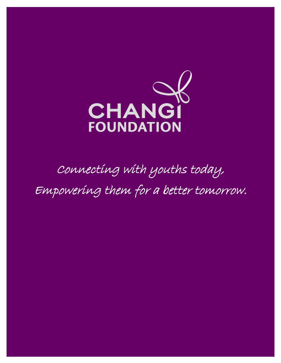

# Connecting with youths today, Empowering them for a better tomorrow.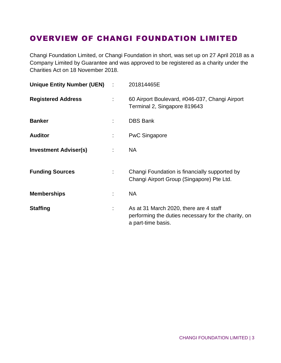# OVERVIEW OF CHANGI FOUNDATION LIMITED

Changi Foundation Limited, or Changi Foundation in short, was set up on 27 April 2018 as a Company Limited by Guarantee and was approved to be registered as a charity under the Charities Act on 18 November 2018.

| Unique Entity Number (UEN) : |    | 201814465E                                                                                                          |
|------------------------------|----|---------------------------------------------------------------------------------------------------------------------|
| <b>Registered Address</b>    | t. | 60 Airport Boulevard, #046-037, Changi Airport<br>Terminal 2, Singapore 819643                                      |
| <b>Banker</b>                |    | <b>DBS Bank</b>                                                                                                     |
| <b>Auditor</b>               |    | <b>PwC Singapore</b>                                                                                                |
| <b>Investment Adviser(s)</b> |    | <b>NA</b>                                                                                                           |
| <b>Funding Sources</b>       |    | Changi Foundation is financially supported by<br>Changi Airport Group (Singapore) Pte Ltd.                          |
| <b>Memberships</b>           |    | <b>NA</b>                                                                                                           |
| <b>Staffing</b>              |    | As at 31 March 2020, there are 4 staff<br>performing the duties necessary for the charity, on<br>a part-time basis. |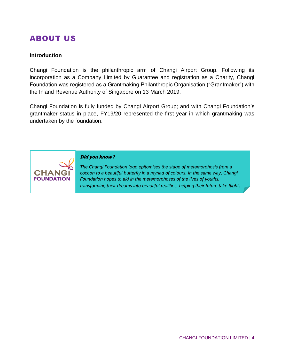# ABOUT US

#### **Introduction**

Changi Foundation is the philanthropic arm of Changi Airport Group. Following its incorporation as a Company Limited by Guarantee and registration as a Charity, Changi Foundation was registered as a Grantmaking Philanthropic Organisation ("Grantmaker") with the Inland Revenue Authority of Singapore on 13 March 2019.

Changi Foundation is fully funded by Changi Airport Group; and with Changi Foundation's grantmaker status in place, FY19/20 represented the first year in which grantmaking was undertaken by the foundation.



#### Did you know?

*The Changi Foundation logo epitomises the stage of metamorphosis from a cocoon to a beautiful butterfly in a myriad of colours. In the same way, Changi Foundation hopes to aid in the metamorphoses of the lives of youths, transforming their dreams into beautiful realities, helping their future take flight.*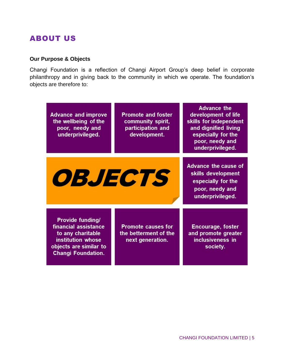# ABOUT US

## **Our Purpose & Objects**

Changi Foundation is a reflection of Changi Airport Group's deep belief in corporate philanthropy and in giving back to the community in which we operate. The foundation's objects are therefore to:

| <b>Advance and improve</b><br>the wellbeing of the<br>poor, needy and<br>underprivileged.                                                        | <b>Promote and foster</b><br>community spirit,<br>participation and<br>development. | <b>Advance the</b><br>development of life<br>skills for independent<br>and dignified living<br>especially for the<br>poor, needy and<br>underprivileged. |
|--------------------------------------------------------------------------------------------------------------------------------------------------|-------------------------------------------------------------------------------------|----------------------------------------------------------------------------------------------------------------------------------------------------------|
| <i><b>OBJECTS</b></i>                                                                                                                            |                                                                                     | <b>Advance the cause of</b><br>skills development<br>especially for the<br>poor, needy and<br>underprivileged.                                           |
| <b>Provide funding/</b><br>financial assistance<br>to any charitable<br>institution whose<br>objects are similar to<br><b>Changi Foundation.</b> | <b>Promote causes for</b><br>the betterment of the<br>next generation.              | <b>Encourage, foster</b><br>and promote greater<br>inclusiveness in<br>society.                                                                          |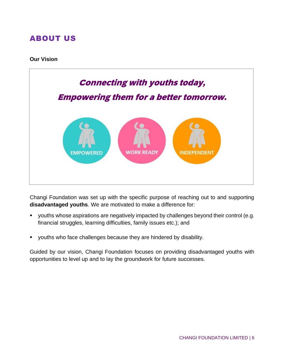# ABOUT US

#### **Our Vision**



Changi Foundation was set up with the specific purpose of reaching out to and supporting **disadvantaged youths**. We are motivated to make a difference for:

- youths whose aspirations are negatively impacted by challenges beyond their control (e.g. financial struggles, learning difficulties, family issues etc.); and
- youths who face challenges because they are hindered by disability.

Guided by our vision, Changi Foundation focuses on providing disadvantaged youths with opportunities to level up and to lay the groundwork for future successes.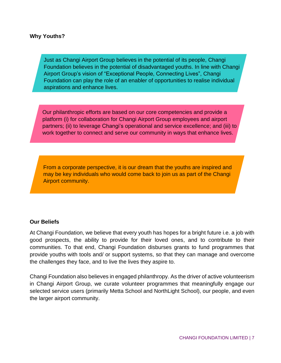#### **Why Youths?**

Just as Changi Airport Group believes in the potential of its people, Changi Foundation believes in the potential of disadvantaged youths. In line with Changi Airport Group's vision of "Exceptional People, Connecting Lives", Changi Foundation can play the role of an enabler of opportunities to realise individual aspirations and enhance lives.

Our philanthropic efforts are based on our core competencies and provide a platform (i) for collaboration for Changi Airport Group employees and airport partners; (ii) to leverage Changi's operational and service excellence; and (iii) to work together to connect and serve our community in ways that enhance lives.

From a corporate perspective, it is our dream that the youths are inspired and may be key individuals who would come back to join us as part of the Changi Airport community.

#### **Our Beliefs**

At Changi Foundation, we believe that every youth has hopes for a bright future i.e. a job with good prospects, the ability to provide for their loved ones, and to contribute to their communities. To that end, Changi Foundation disburses grants to fund programmes that provide youths with tools and/ or support systems, so that they can manage and overcome the challenges they face, and to live the lives they aspire to.

Changi Foundation also believes in engaged philanthropy. As the driver of active volunteerism in Changi Airport Group, we curate volunteer programmes that meaningfully engage our selected service users (primarily Metta School and NorthLight School), our people, and even the larger airport community.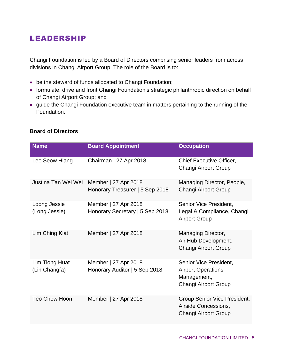# LEADERSHIP

Changi Foundation is led by a Board of Directors comprising senior leaders from across divisions in Changi Airport Group. The role of the Board is to:

- be the steward of funds allocated to Changi Foundation;
- formulate, drive and front Changi Foundation's strategic philanthropic direction on behalf of Changi Airport Group; and
- guide the Changi Foundation executive team in matters pertaining to the running of the Foundation.

| <b>Name</b>                     | <b>Board Appointment</b>                                | <b>Occupation</b>                                                                          |
|---------------------------------|---------------------------------------------------------|--------------------------------------------------------------------------------------------|
| Lee Seow Hiang                  | Chairman   27 Apr 2018                                  | Chief Executive Officer,<br>Changi Airport Group                                           |
| Justina Tan Wei Wei             | Member   27 Apr 2018<br>Honorary Treasurer   5 Sep 2018 | Managing Director, People,<br>Changi Airport Group                                         |
| Loong Jessie<br>(Long Jessie)   | Member   27 Apr 2018<br>Honorary Secretary   5 Sep 2018 | Senior Vice President,<br>Legal & Compliance, Changi<br><b>Airport Group</b>               |
| Lim Ching Kiat                  | Member   27 Apr 2018                                    | Managing Director,<br>Air Hub Development,<br>Changi Airport Group                         |
| Lim Tiong Huat<br>(Lin Changfa) | Member   27 Apr 2018<br>Honorary Auditor   5 Sep 2018   | Senior Vice President,<br><b>Airport Operations</b><br>Management,<br>Changi Airport Group |
| <b>Teo Chew Hoon</b>            | Member   27 Apr 2018                                    | Group Senior Vice President,<br>Airside Concessions,<br>Changi Airport Group               |

## **Board of Directors**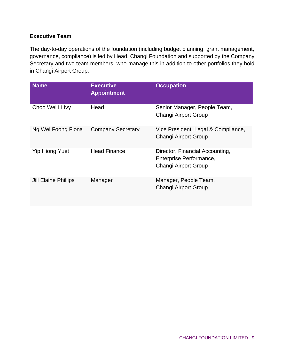## **Executive Team**

The day-to-day operations of the foundation (including budget planning, grant management, governance, compliance) is led by Head, Changi Foundation and supported by the Company Secretary and two team members, who manage this in addition to other portfolios they hold in Changi Airport Group.

| <b>Name</b>                 | <b>Executive</b><br><b>Appointment</b> | <b>Occupation</b>                                                                  |
|-----------------------------|----------------------------------------|------------------------------------------------------------------------------------|
| Choo Wei Li Ivy             | Head                                   | Senior Manager, People Team,<br><b>Changi Airport Group</b>                        |
| Ng Wei Foong Fiona          | <b>Company Secretary</b>               | Vice President, Legal & Compliance,<br><b>Changi Airport Group</b>                 |
| <b>Yip Hiong Yuet</b>       | <b>Head Finance</b>                    | Director, Financial Accounting,<br>Enterprise Performance,<br>Changi Airport Group |
| <b>Jill Elaine Phillips</b> | Manager                                | Manager, People Team,<br><b>Changi Airport Group</b>                               |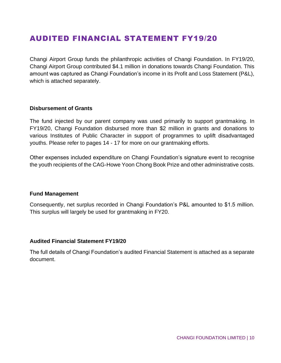## AUDITED FINANCIAL STATEMENT FY19/20

Changi Airport Group funds the philanthropic activities of Changi Foundation. In FY19/20, Changi Airport Group contributed \$4.1 million in donations towards Changi Foundation. This amount was captured as Changi Foundation's income in its Profit and Loss Statement (P&L), which is attached separately.

#### **Disbursement of Grants**

The fund injected by our parent company was used primarily to support grantmaking. In FY19/20, Changi Foundation disbursed more than \$2 million in grants and donations to various Institutes of Public Character in support of programmes to uplift disadvantaged youths. Please refer to pages 14 - 17 for more on our grantmaking efforts.

Other expenses included expenditure on Changi Foundation's signature event to recognise the youth recipients of the CAG-Howe Yoon Chong Book Prize and other administrative costs.

#### **Fund Management**

Consequently, net surplus recorded in Changi Foundation's P&L amounted to \$1.5 million. This surplus will largely be used for grantmaking in FY20.

#### **Audited Financial Statement FY19/20**

The full details of Changi Foundation's audited Financial Statement is attached as a separate document.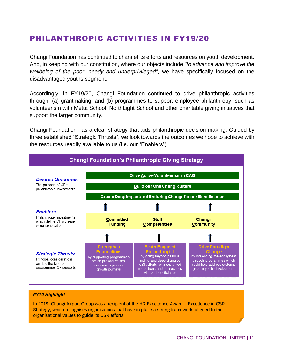# PHILANTHROPIC ACTIVITIES IN FY19/20

Changi Foundation has continued to channel its efforts and resources on youth development. And, in keeping with our constitution, where our objects include *"to advance and improve the wellbeing of the poor, needy and underprivileged"*, we have specifically focused on the disadvantaged youths segment.

Accordingly, in FY19/20, Changi Foundation continued to drive philanthropic activities through: (a) grantmaking; and (b) programmes to support employee philanthropy, such as volunteerism with Metta School, NorthLight School and other charitable giving initiatives that support the larger community.

Changi Foundation has a clear strategy that aids philanthropic decision making. Guided by three established "Strategic Thrusts", we look towards the outcomes we hope to achieve with the resources readily available to us (i.e. our "Enablers")



#### *FY19 Highlight*

In 2019, Changi Airport Group was a recipient of the HR Excellence Award – Excellence in CSR Strategy, which recognises organisations that have in place a strong framework, aligned to the organisational values to guide its CSR efforts.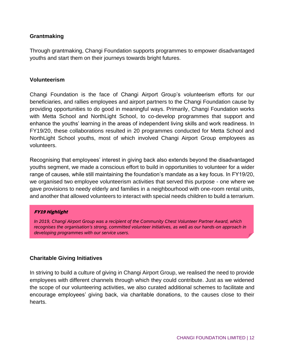## **Grantmaking**

Through grantmaking, Changi Foundation supports programmes to empower disadvantaged youths and start them on their journeys towards bright futures.

#### **Volunteerism**

Changi Foundation is the face of Changi Airport Group's volunteerism efforts for our beneficiaries, and rallies employees and airport partners to the Changi Foundation cause by providing opportunities to do good in meaningful ways. Primarily, Changi Foundation works with Metta School and NorthLight School, to co-develop programmes that support and enhance the youths' learning in the areas of independent living skills and work readiness. In FY19/20, these collaborations resulted in 20 programmes conducted for Metta School and NorthLight School youths, most of which involved Changi Airport Group employees as volunteers.

Recognising that employees' interest in giving back also extends beyond the disadvantaged youths segment, we made a conscious effort to build in opportunities to volunteer for a wider range of causes, while still maintaining the foundation's mandate as a key focus. In FY19/20, we organised two employee volunteerism activities that served this purpose - one where we gave provisions to needy elderly and families in a neighbourhood with one-room rental units, and another that allowed volunteers to interact with special needs children to build a terrarium.

#### FY19 Highlight

*In 2019, Changi Airport Group was a recipient of the Community Chest Volunteer Partner Award, which recognises the organisation's strong, committed volunteer initiatives, as well as our hands-on approach in developing programmes with our service users.* 

### **Charitable Giving Initiatives**

In striving to build a culture of giving in Changi Airport Group, we realised the need to provide employees with different channels through which they could contribute. Just as we widened the scope of our volunteering activities, we also curated additional schemes to facilitate and encourage employees' giving back, via charitable donations, to the causes close to their hearts.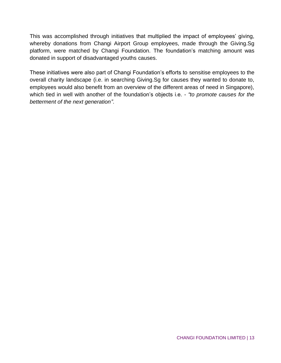This was accomplished through initiatives that multiplied the impact of employees' giving, whereby donations from Changi Airport Group employees, made through the Giving.Sg platform, were matched by Changi Foundation. The foundation's matching amount was donated in support of disadvantaged youths causes.

These initiatives were also part of Changi Foundation's efforts to sensitise employees to the overall charity landscape (i.e. in searching Giving.Sg for causes they wanted to donate to, employees would also benefit from an overview of the different areas of need in Singapore), which tied in well with another of the foundation's objects i.e. - *"to promote causes for the betterment of the next generation"*.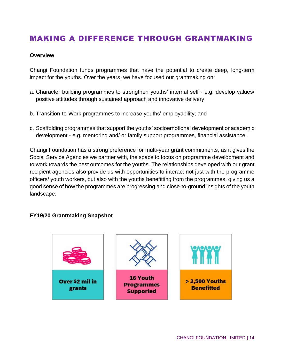# MAKING A DIFFERENCE THROUGH GRANTMAKING

#### **Overview**

Changi Foundation funds programmes that have the potential to create deep, long-term impact for the youths. Over the years, we have focused our grantmaking on:

- a. Character building programmes to strengthen youths' internal self e.g. develop values/ positive attitudes through sustained approach and innovative delivery;
- b. Transition-to-Work programmes to increase youths' employability; and
- c. Scaffolding programmes that support the youths' socioemotional development or academic development - e.g. mentoring and/ or family support programmes, financial assistance.

Changi Foundation has a strong preference for multi-year grant commitments, as it gives the Social Service Agencies we partner with, the space to focus on programme development and to work towards the best outcomes for the youths. The relationships developed with our grant recipient agencies also provide us with opportunities to interact not just with the programme officers/ youth workers, but also with the youths benefitting from the programmes, giving us a good sense of how the programmes are progressing and close-to-ground insights of the youth landscape.

### **FY19/20 Grantmaking Snapshot**

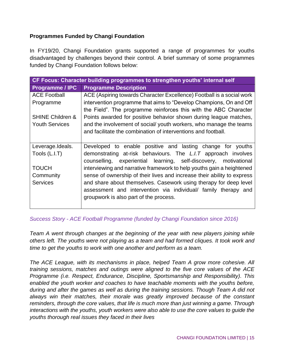## **Programmes Funded by Changi Foundation**

In FY19/20, Changi Foundation grants supported a range of programmes for youths disadvantaged by challenges beyond their control. A brief summary of some programmes funded by Changi Foundation follows below:

| CF Focus: Character building programmes to strengthen youths' internal self |                                                                         |
|-----------------------------------------------------------------------------|-------------------------------------------------------------------------|
| <b>Programme / IPC</b>                                                      | <b>Programme Description</b>                                            |
| <b>ACE Football</b>                                                         | ACE (Aspiring towards Character Excellence) Football is a social work   |
| Programme                                                                   | intervention programme that aims to "Develop Champions, On and Off      |
|                                                                             | the Field". The programme reinforces this with the ABC Character        |
| <b>SHINE Children &amp;</b>                                                 | Points awarded for positive behavior shown during league matches,       |
| <b>Youth Services</b>                                                       | and the involvement of social/ youth workers, who manage the teams      |
|                                                                             | and facilitate the combination of interventions and football.           |
|                                                                             |                                                                         |
| Leverage.Ideals.                                                            | Developed to enable positive and lasting change for youths              |
| Tools (L.I.T)                                                               | demonstrating at-risk behaviours. The L.I.T approach involves           |
|                                                                             | experiential learning, self-discovery, motivational<br>counselling,     |
| <b>TOUCH</b>                                                                | interviewing and narrative framework to help youths gain a heightened   |
| Community                                                                   | sense of ownership of their lives and increase their ability to express |
| <b>Services</b>                                                             | and share about themselves. Casework using therapy for deep level       |
|                                                                             | assessment and intervention via individual/ family therapy and          |
|                                                                             | groupwork is also part of the process.                                  |
|                                                                             |                                                                         |

## *Success Story - ACE Football Programme (funded by Changi Foundation since 2016)*

*Team A went through changes at the beginning of the year with new players joining while others left. The youths were not playing as a team and had formed cliques. It took work and time to get the youths to work with one another and perform as a team.*

*The ACE League, with its mechanisms in place, helped Team A grow more cohesive. All training sessions, matches and outings were aligned to the five core values of the ACE Programme (i.e. Respect, Endurance, Discipline, Sportsmanship and Responsibility). This enabled the youth worker and coaches to have teachable moments with the youths before, during and after the games as well as during the training sessions. Though Team A did not always win their matches, their morale was greatly improved because of the constant reminders, through the core values, that life is much more than just winning a game. Through interactions with the youths, youth workers were also able to use the core values to guide the youths thorough real issues they faced in their lives*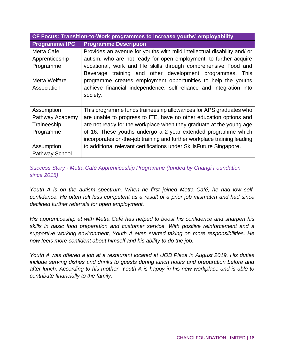| CF Focus: Transition-to-Work programmes to increase youths' employability |                                                                         |  |
|---------------------------------------------------------------------------|-------------------------------------------------------------------------|--|
| <b>Programme/IPC</b>                                                      | <b>Programme Description</b>                                            |  |
| Metta Café                                                                | Provides an avenue for youths with mild intellectual disability and/ or |  |
| Apprenticeship                                                            | autism, who are not ready for open employment, to further acquire       |  |
| Programme                                                                 | vocational, work and life skills through comprehensive Food and         |  |
|                                                                           | training and other development programmes.<br>Beverage<br>This          |  |
| Metta Welfare                                                             | programme creates employment opportunities to help the youths           |  |
| Association                                                               | achieve financial independence, self-reliance and integration into      |  |
|                                                                           | society.                                                                |  |
|                                                                           |                                                                         |  |
| Assumption                                                                | This programme funds traineeship allowances for APS graduates who       |  |
| Pathway Academy                                                           | are unable to progress to ITE, have no other education options and      |  |
| Traineeship                                                               | are not ready for the workplace when they graduate at the young age     |  |
| Programme                                                                 | of 16. These youths undergo a 2-year extended programme which           |  |
|                                                                           | incorporates on-the-job training and further workplace training leading |  |
| Assumption                                                                | to additional relevant certifications under SkillsFuture Singapore.     |  |
| <b>Pathway School</b>                                                     |                                                                         |  |

*Success Story - Metta Café Apprenticeship Programme (funded by Changi Foundation since 2015)*

*Youth A is on the autism spectrum. When he first joined Metta Café, he had low selfconfidence. He often felt less competent as a result of a prior job mismatch and had since declined further referrals for open employment.* 

*His apprenticeship at with Metta Café has helped to boost his confidence and sharpen his skills in basic food preparation and customer service. With positive reinforcement and a supportive working environment, Youth A even started taking on more responsibilities. He now feels more confident about himself and his ability to do the job.* 

*Youth A was offered a job at a restaurant located at UOB Plaza in August 2019. His duties include serving dishes and drinks to guests during lunch hours and preparation before and after lunch. According to his mother, Youth A is happy in his new workplace and is able to contribute financially to the family.*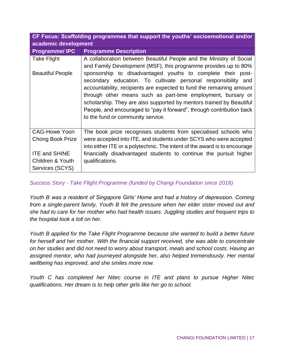**CF Focus: Scaffolding programmes that support the youths' socioemotional and/or academic development**

| <b>Programme/IPC</b>    | <b>Programme Description</b>                                                                                                                                                                                                                                                                                                                                                                                                                               |
|-------------------------|------------------------------------------------------------------------------------------------------------------------------------------------------------------------------------------------------------------------------------------------------------------------------------------------------------------------------------------------------------------------------------------------------------------------------------------------------------|
| <b>Take Flight</b>      | A collaboration between Beautiful People and the Ministry of Social<br>and Family Development (MSF), this programme provides up to 80%                                                                                                                                                                                                                                                                                                                     |
| <b>Beautiful People</b> | sponsorship to disadvantaged youths to complete their post-<br>secondary education. To cultivate personal responsibility and<br>accountability, recipients are expected to fund the remaining amount<br>through other means such as part-time employment, bursary or<br>scholarship. They are also supported by mentors trained by Beautiful<br>People, and encouraged to "pay it forward", through contribution back<br>to the fund or community service. |
| <b>CAG-Howe Yoon</b>    | The book prize recognises students from specialised schools who                                                                                                                                                                                                                                                                                                                                                                                            |
| <b>Chong Book Prize</b> | were accepted into ITE, and students under SCYS who were accepted<br>into either ITE or a polytechnic. The intent of the award is to encourage                                                                                                                                                                                                                                                                                                             |
| <b>ITE and SHINE</b>    | financially disadvantaged students to continue the pursuit higher                                                                                                                                                                                                                                                                                                                                                                                          |
| Children & Youth        | qualifications.                                                                                                                                                                                                                                                                                                                                                                                                                                            |
| Services (SCYS)         |                                                                                                                                                                                                                                                                                                                                                                                                                                                            |

## *Success Story - Take Flight Programme (funded by Changi Foundation since 2018)*

*Youth B was a resident of Singapore Girls' Home and had a history of depression. Coming from a single-parent family, Youth B felt the pressure when her elder sister moved out and she had to care for her mother who had health issues. Juggling studies and frequent trips to the hospital took a toll on her.*

*Youth B applied for the Take Flight Programme because she wanted to build a better future for herself and her mother. With the financial support received, she was able to concentrate on her studies and did not need to worry about transport, meals and school costs. Having an assigned mentor, who had journeyed alongside her, also helped tremendously. Her mental wellbeing has improved, and she smiles more now.* 

*Youth C has completed her Nitec course in ITE and plans to pursue Higher Nitec qualifications. Her dream is to help other girls like her go to school.*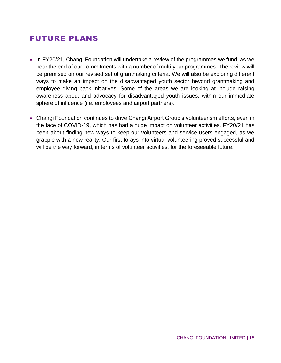## FUTURE PLANS

- In FY20/21, Changi Foundation will undertake a review of the programmes we fund, as we near the end of our commitments with a number of multi-year programmes. The review will be premised on our revised set of grantmaking criteria. We will also be exploring different ways to make an impact on the disadvantaged youth sector beyond grantmaking and employee giving back initiatives. Some of the areas we are looking at include raising awareness about and advocacy for disadvantaged youth issues, within our immediate sphere of influence (i.e. employees and airport partners).
- Changi Foundation continues to drive Changi Airport Group's volunteerism efforts, even in the face of COVID-19, which has had a huge impact on volunteer activities. FY20/21 has been about finding new ways to keep our volunteers and service users engaged, as we grapple with a new reality. Our first forays into virtual volunteering proved successful and will be the way forward, in terms of volunteer activities, for the foreseeable future.